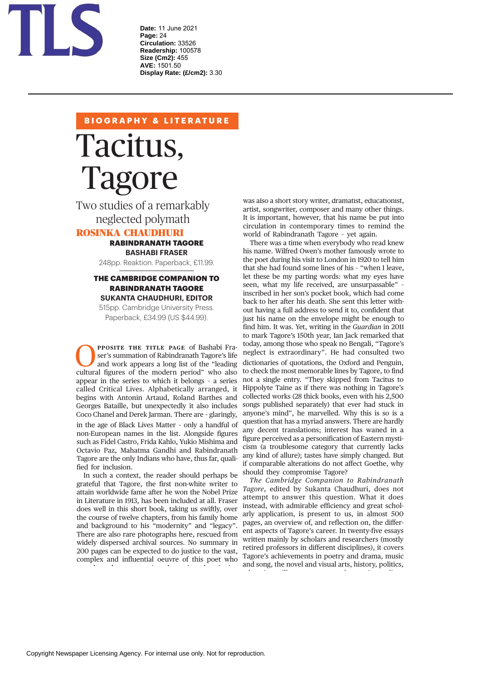

**Date:** 11 June 2021 **Page:** 24 **Circulation:** 33526 **Readership:** 100578 **Size (Cm2):** 455 **AVE:** 1501.50 **Display Rate: (£/cm2):** 3.30

# **BIOGRAPHY & LITERATURE**

# Tacitus,<br>Tagore

Tagore Two studies of a remarkably neglected polymath

# ROSINKA CHAUDHURI

### RABINDRANATH TAGORE **BASHABI FRASER**

248pp. Reaktion. Paperback, £11.99.

## THE CAMBRIDGE COMPANION TO RABINDRANATH TAGORE **SUKANTA CHAUDHURI, EDITOR**

515pp. Cambridge University Press. Paperback, £34.99 (US \$44.99).

**PPOSITE THE TITLE PAGE** of Bashabi Fra-<br>ser's summation of Rabindranath Tagore's life<br>and work appears a long list of the "leading<br>cultural figures of the modern period" who also<br>appear in the series to which it belongs ser's summation of Rabindranath Tagore's life and work appears a long list of the "leading cultural figures of the modern period" who also appear in the series to which it belongs – a series begins with Antonin Artaud, Roland Barthes and Georges Bataille, but unexpectedly it also includes Coco Chanel and Derek Jarman. There are – glaringly, in the age of Black Lives Matter – only a handful of non-European names in the list. Alongside figures such as Fidel Castro, Frida Kahlo, Yukio Mishima and Octavio Paz, Mahatma Gandhi and Rabindranath Tagore are the only Indians who have, thus far, qualified for inclusion.

In such a context, the reader should perhaps be grateful that Tagore, the first non-white writer to attain worldwide fame after he won the Nobel Prize in Literature in 1913, has been included at all. Fraser does well in this short book, taking us swiftly, over the course of twelve chapters, from his family home and background to his "modernity" and "legacy". There are also rare photographs here, rescued from widely dispersed archival sources. No summary in 200 pages can be expected to do justice to the vast, complex and influential oeuvre of this poet who

l h i d i d ii

was also a short story writer, dramatist, educationist, artist, songwriter, composer and many other things. It is important, however, that his name be put into circulation in contemporary times to remind the world of Rabindranath Tagore – yet again.

There was a time when everybody who read knew his name. Wilfred Owen's mother famously wrote to the poet during his visit to London in 1920 to tell him that she had found some lines of his – "when I leave, let these be my parting words: what my eyes have seen, what my life received, are unsurpassable" – inscribed in her son's pocket book, which had come back to her after his death. She sent this letter without having a full address to send it to, confident that just his name on the envelope might be enough to find him. It was. Yet, writing in the *Guardian* in 2011 to mark Tagore's 150th year, Ian Jack remarked that today, among those who speak no Bengali, "Tagore's neglect is extraordinary". He had consulted two dictionaries of quotations, the Oxford and Penguin, to check the most memorable lines by Tagore, to find not a single entry. "They skipped from Tacitus to Hippolyte Taine as if there was nothing in Tagore's collected works (28 thick books, even with his 2,500 songs published separately) that ever had stuck in anyone's mind", he marvelled. Why this is so is a question that has a myriad answers. There are hardly any decent translations; interest has waned in a figure perceived as a personification of Eastern mysticism (a troublesome category that currently lacks any kind of allure); tastes have simply changed. But if comparable alterations do not affect Goethe, why should they compromise Tagore?

*The Cambridge Companion to Rabindranath Tagore*, edited by Sukanta Chaudhuri, does not attempt to answer this question. What it does instead, with admirable efficiency and great scholarly application, is present to us, in almost 500 pages, an overview of, and reflection on, the different aspects of Tagore's career. In twenty-five essays written mainly by scholars and researchers (mostly retired professors in different disciplines), it covers Tagore's achievements in poetry and drama, music and song, the novel and visual arts, history, politics,

d i ill li ill li ill li ill li ill li ill li ill li ill li ill li ill li ill li ill li ill li ill li ill li i<br>Di ill li ill li ill li ill li ill li ill li ill li ill li ill li ill li ill li ill li ill li ill li ill li il